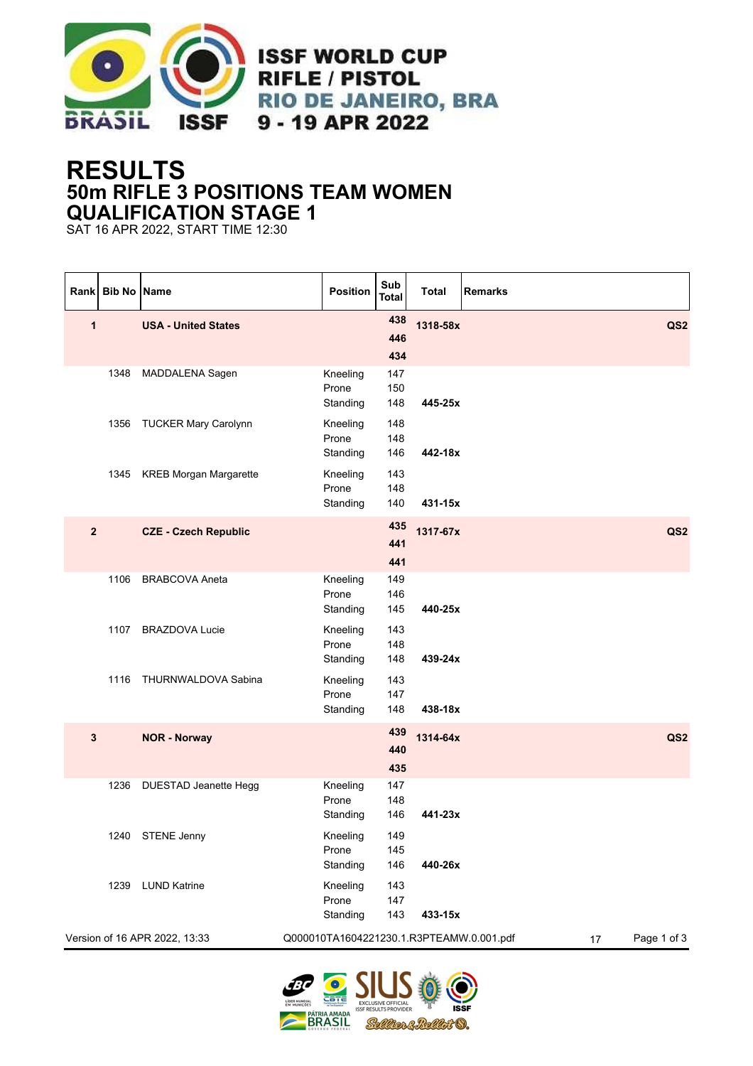

## **RESULTS 50m RIFLE 3 POSITIONS TEAM WOMEN QUALIFICATION STAGE 1**

SAT 16 APR 2022, START TIME 12:30

|                | Rank Bib No Name |                               | Position                                 | Sub<br><b>Total</b> | <b>Total</b> | <b>Remarks</b>    |                 |
|----------------|------------------|-------------------------------|------------------------------------------|---------------------|--------------|-------------------|-----------------|
| 1              |                  | <b>USA - United States</b>    |                                          | 438<br>446<br>434   | 1318-58x     |                   | QS2             |
|                | 1348             | MADDALENA Sagen               | Kneeling<br>Prone<br>Standing            | 147<br>150<br>148   | 445-25x      |                   |                 |
|                | 1356             | <b>TUCKER Mary Carolynn</b>   | Kneeling<br>Prone<br>Standing            | 148<br>148<br>146   | 442-18x      |                   |                 |
|                |                  | 1345 KREB Morgan Margarette   | Kneeling<br>Prone<br>Standing            | 143<br>148<br>140   | 431-15x      |                   |                 |
| $\overline{2}$ |                  | <b>CZE - Czech Republic</b>   |                                          | 435<br>441<br>441   | 1317-67x     |                   | QS <sub>2</sub> |
|                | 1106             | <b>BRABCOVA Aneta</b>         | Kneeling<br>Prone<br>Standing            | 149<br>146<br>145   | 440-25x      |                   |                 |
|                | 1107             | <b>BRAZDOVA Lucie</b>         | Kneeling<br>Prone<br>Standing            | 143<br>148<br>148   | 439-24x      |                   |                 |
|                | 1116             | THURNWALDOVA Sabina           | Kneeling<br>Prone<br>Standing            | 143<br>147<br>148   | 438-18x      |                   |                 |
| $\mathbf{3}$   |                  | <b>NOR - Norway</b>           |                                          | 439<br>440<br>435   | 1314-64x     |                   | QS <sub>2</sub> |
|                | 1236             | DUESTAD Jeanette Hegg         | Kneeling<br>Prone<br>Standing            | 147<br>148<br>146   | 441-23x      |                   |                 |
|                |                  | 1240 STENE Jenny              | Kneeling<br>Prone<br>Standing            | 149<br>145<br>146   | 440-26x      |                   |                 |
|                | 1239             | <b>LUND Katrine</b>           | Kneeling<br>Prone<br>Standing            | 143<br>147<br>143   | 433-15x      |                   |                 |
|                |                  | Version of 16 APR 2022, 13:33 | Q000010TA1604221230.1.R3PTEAMW.0.001.pdf |                     |              | Page 1 of 3<br>17 |                 |

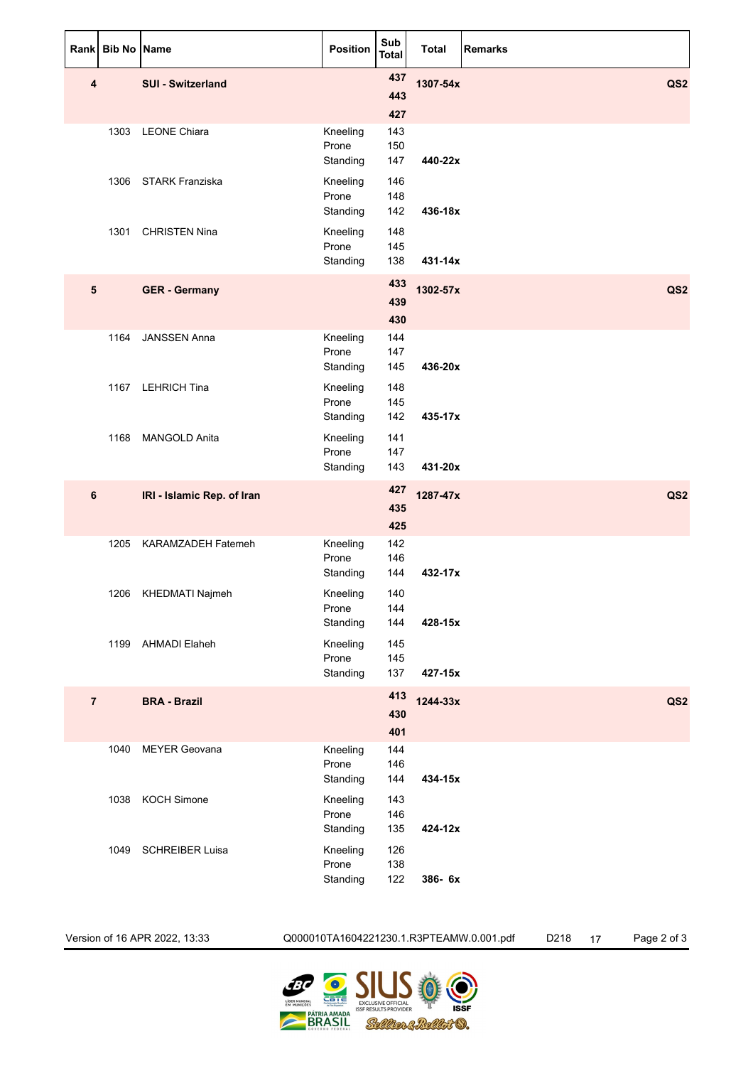| Rank           | Bib No | <b>Name</b>                | <b>Position</b>               | Sub<br>Total             | <b>Total</b> | <b>Remarks</b>  |
|----------------|--------|----------------------------|-------------------------------|--------------------------|--------------|-----------------|
| 4              |        | <b>SUI - Switzerland</b>   |                               | 437<br>443               | 1307-54x     | QS <sub>2</sub> |
|                |        | 1303 LEONE Chiara          | Kneeling<br>Prone<br>Standing | 427<br>143<br>150<br>147 | 440-22x      |                 |
|                |        | 1306 STARK Franziska       | Kneeling<br>Prone<br>Standing | 146<br>148<br>142        | 436-18x      |                 |
|                | 1301   | <b>CHRISTEN Nina</b>       | Kneeling<br>Prone<br>Standing | 148<br>145<br>138        | 431-14x      |                 |
| 5              |        | <b>GER - Germany</b>       |                               | 433<br>439<br>430        | 1302-57x     | QS <sub>2</sub> |
|                | 1164   | <b>JANSSEN Anna</b>        | Kneeling<br>Prone<br>Standing | 144<br>147<br>145        | 436-20x      |                 |
|                |        | 1167 LEHRICH Tina          | Kneeling<br>Prone<br>Standing | 148<br>145<br>142        | 435-17x      |                 |
|                |        | 1168 MANGOLD Anita         | Kneeling<br>Prone<br>Standing | 141<br>147<br>143        | 431-20x      |                 |
| 6              |        | IRI - Islamic Rep. of Iran |                               | 427<br>435<br>425        | 1287-47x     | QS <sub>2</sub> |
|                |        | 1205 KARAMZADEH Fatemeh    | Kneeling<br>Prone<br>Standing | 142<br>146<br>144        | 432-17x      |                 |
|                | 1206   | KHEDMATI Najmeh            | Kneeling<br>Prone<br>Standing | 140<br>144<br>144        | 428-15x      |                 |
|                |        | 1199 AHMADI Elaheh         | Kneeling<br>Prone<br>Standing | 145<br>145<br>137        | 427-15x      |                 |
| $\overline{7}$ |        | <b>BRA - Brazil</b>        |                               | 413<br>430<br>401        | 1244-33x     | QS <sub>2</sub> |
|                |        | 1040 MEYER Geovana         | Kneeling<br>Prone<br>Standing | 144<br>146<br>144        | 434-15x      |                 |
|                |        | 1038 KOCH Simone           | Kneeling<br>Prone<br>Standing | 143<br>146<br>135        | 424-12x      |                 |
|                |        | 1049 SCHREIBER Luisa       | Kneeling<br>Prone<br>Standing | 126<br>138<br>122        | 386-6x       |                 |

Version of 16 APR 2022, 13:33 Q000010TA1604221230.1.R3PTEAMW.0.001.pdf D218 17 Page 2 of 3